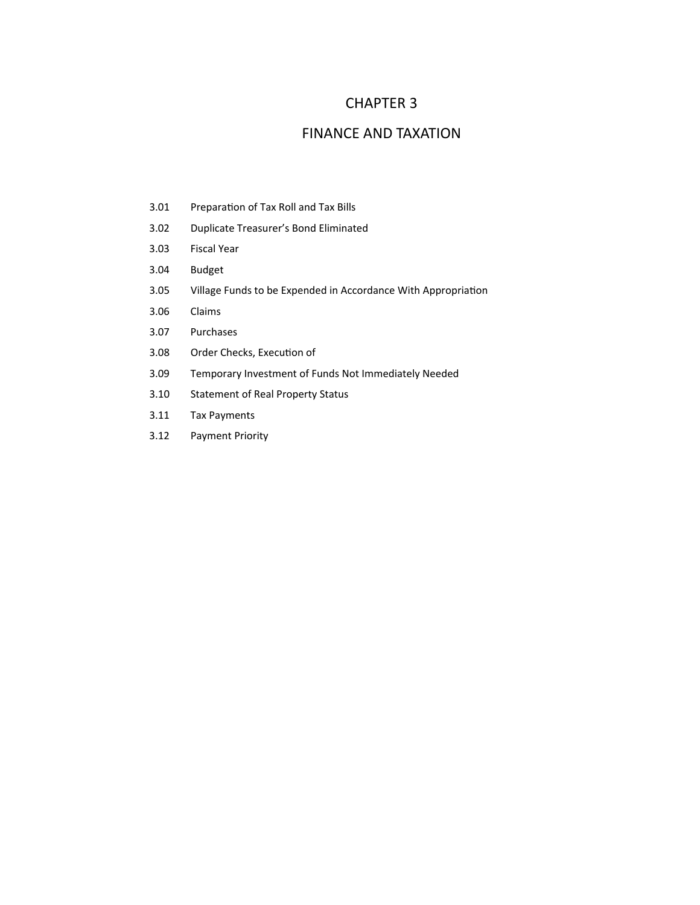## CHAPTER 3

## FINANCE AND TAXATION

- 3.01 Preparation of Tax Roll and Tax Bills
- 3.02 Duplicate Treasurer's Bond Eliminated
- 3.03 Fiscal Year
- 3.04 Budget
- 3.05 Village Funds to be Expended in Accordance With Appropriation
- 3.06 Claims
- 3.07 Purchases
- 3.08 Order Checks, Execution of
- 3.09 Temporary Investment of Funds Not Immediately Needed
- 3.10 Statement of Real Property Status
- 3.11 Tax Payments
- 3.12 Payment Priority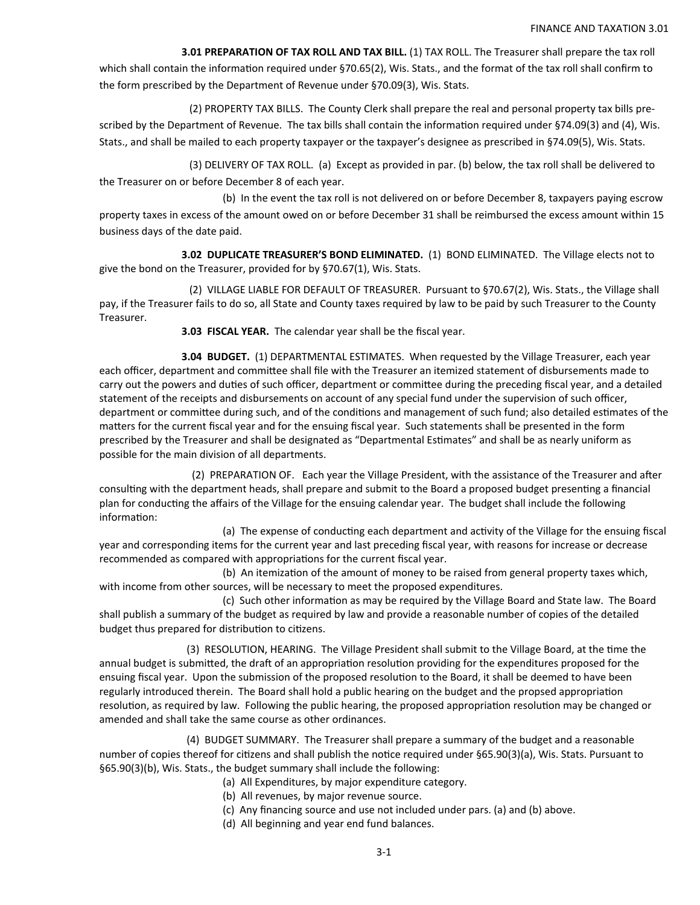**3.01 PREPARATION OF TAX ROLL AND TAX BILL.** (1) TAX ROLL. The Treasurer shall prepare the tax roll which shall contain the information required under §70.65(2), Wis. Stats., and the format of the tax roll shall confirm to the form prescribed by the Department of Revenue under §70.09(3), Wis. Stats.

 (2) PROPERTY TAX BILLS. The County Clerk shall prepare the real and personal property tax bills pre‐ scribed by the Department of Revenue. The tax bills shall contain the information required under §74.09(3) and (4), Wis. Stats., and shall be mailed to each property taxpayer or the taxpayer's designee as prescribed in §74.09(5), Wis. Stats.

 (3) DELIVERY OF TAX ROLL. (a) Except as provided in par. (b) below, the tax roll shall be delivered to the Treasurer on or before December 8 of each year.

 (b) In the event the tax roll is not delivered on or before December 8, taxpayers paying escrow property taxes in excess of the amount owed on or before December 31 shall be reimbursed the excess amount within 15 business days of the date paid.

 **3.02 DUPLICATE TREASURER'S BOND ELIMINATED.** (1) BOND ELIMINATED. The Village elects not to give the bond on the Treasurer, provided for by §70.67(1), Wis. Stats.

 (2) VILLAGE LIABLE FOR DEFAULT OF TREASURER. Pursuant to §70.67(2), Wis. Stats., the Village shall pay, if the Treasurer fails to do so, all State and County taxes required by law to be paid by such Treasurer to the County Treasurer.

**3.03 FISCAL YEAR.** The calendar year shall be the fiscal year.

 **3.04 BUDGET.**  (1) DEPARTMENTAL ESTIMATES. When requested by the Village Treasurer, each year each officer, department and committee shall file with the Treasurer an itemized statement of disbursements made to carry out the powers and duties of such officer, department or committee during the preceding fiscal year, and a detailed statement of the receipts and disbursements on account of any special fund under the supervision of such officer, department or committee during such, and of the conditions and management of such fund; also detailed estimates of the matters for the current fiscal year and for the ensuing fiscal year. Such statements shall be presented in the form prescribed by the Treasurer and shall be designated as "Departmental Estimates" and shall be as nearly uniform as possible for the main division of all departments.

(2) PREPARATION OF. Each year the Village President, with the assistance of the Treasurer and after consulting with the department heads, shall prepare and submit to the Board a proposed budget presenting a financial plan for conducting the affairs of the Village for the ensuing calendar year. The budget shall include the following information:

(a) The expense of conducting each department and activity of the Village for the ensuing fiscal year and corresponding items for the current year and last preceding fiscal year, with reasons for increase or decrease recommended as compared with appropriations for the current fiscal year.

(b) An itemization of the amount of money to be raised from general property taxes which, with income from other sources, will be necessary to meet the proposed expenditures.

(c) Such other information as may be required by the Village Board and State law. The Board shall publish a summary of the budget as required by law and provide a reasonable number of copies of the detailed budget thus prepared for distribution to citizens.

(3) RESOLUTION, HEARING. The Village President shall submit to the Village Board, at the time the annual budget is submitted, the draft of an appropriation resolution providing for the expenditures proposed for the ensuing fiscal year. Upon the submission of the proposed resolution to the Board, it shall be deemed to have been regularly introduced therein. The Board shall hold a public hearing on the budget and the propsed appropriation resolution, as required by law. Following the public hearing, the proposed appropriation resolution may be changed or amended and shall take the same course as other ordinances.

 (4) BUDGET SUMMARY. The Treasurer shall prepare a summary of the budget and a reasonable number of copies thereof for citizens and shall publish the notice required under §65.90(3)(a), Wis. Stats. Pursuant to §65.90(3)(b), Wis. Stats., the budget summary shall include the following:

- (a) All Expenditures, by major expenditure category.
- (b) All revenues, by major revenue source.
- (c) Any financing source and use not included under pars. (a) and (b) above.
- (d) All beginning and year end fund balances.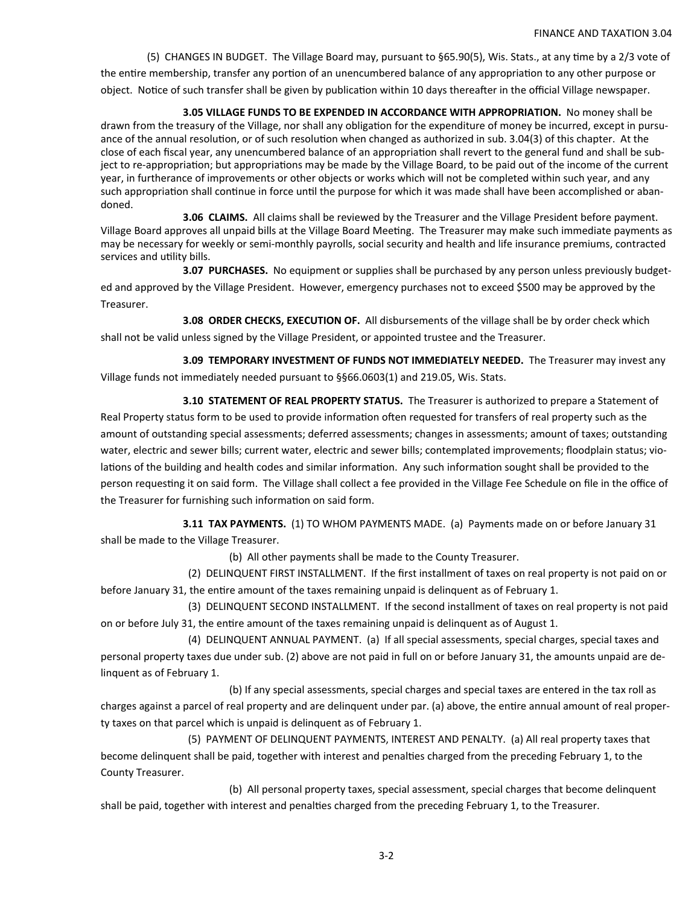(5) CHANGES IN BUDGET. The Village Board may, pursuant to §65.90(5), Wis. Stats., at any time by a 2/3 vote of the entire membership, transfer any portion of an unencumbered balance of any appropriation to any other purpose or object. Notice of such transfer shall be given by publication within 10 days thereafter in the official Village newspaper.

 **3.05 VILLAGE FUNDS TO BE EXPENDED IN ACCORDANCE WITH APPROPRIATION.** No money shall be drawn from the treasury of the Village, nor shall any obligation for the expenditure of money be incurred, except in pursuance of the annual resolution, or of such resolution when changed as authorized in sub. 3.04(3) of this chapter. At the close of each fiscal year, any unencumbered balance of an appropriation shall revert to the general fund and shall be subject to re-appropriation; but appropriations may be made by the Village Board, to be paid out of the income of the current year, in furtherance of improvements or other objects or works which will not be completed within such year, and any such appropriation shall continue in force until the purpose for which it was made shall have been accomplished or abandoned.

 **3.06 CLAIMS.** All claims shall be reviewed by the Treasurer and the Village President before payment. Village Board approves all unpaid bills at the Village Board Meeting. The Treasurer may make such immediate payments as may be necessary for weekly or semi‐monthly payrolls, social security and health and life insurance premiums, contracted services and utility bills.

 **3.07 PURCHASES.**  No equipment or supplies shall be purchased by any person unless previously budget‐ ed and approved by the Village President. However, emergency purchases not to exceed \$500 may be approved by the Treasurer.

**3.08 ORDER CHECKS, EXECUTION OF.** All disbursements of the village shall be by order check which shall not be valid unless signed by the Village President, or appointed trustee and the Treasurer.

**3.09 TEMPORARY INVESTMENT OF FUNDS NOT IMMEDIATELY NEEDED.** The Treasurer may invest any Village funds not immediately needed pursuant to §§66.0603(1) and 219.05, Wis. Stats.

 **3.10 STATEMENT OF REAL PROPERTY STATUS.** The Treasurer is authorized to prepare a Statement of Real Property status form to be used to provide information often requested for transfers of real property such as the amount of outstanding special assessments; deferred assessments; changes in assessments; amount of taxes; outstanding water, electric and sewer bills; current water, electric and sewer bills; contemplated improvements; floodplain status; violations of the building and health codes and similar information. Any such information sought shall be provided to the person requesting it on said form. The Village shall collect a fee provided in the Village Fee Schedule on file in the office of the Treasurer for furnishing such information on said form.

**3.11 TAX PAYMENTS.** (1) TO WHOM PAYMENTS MADE. (a) Payments made on or before January 31 shall be made to the Village Treasurer.

(b) All other payments shall be made to the County Treasurer.

 (2) DELINQUENT FIRST INSTALLMENT. If the first installment of taxes on real property is not paid on or before January 31, the entire amount of the taxes remaining unpaid is delinquent as of February 1.

 (3) DELINQUENT SECOND INSTALLMENT. If the second installment of taxes on real property is not paid on or before July 31, the entire amount of the taxes remaining unpaid is delinquent as of August 1.

 (4) DELINQUENT ANNUAL PAYMENT. (a) If all special assessments, special charges, special taxes and personal property taxes due under sub. (2) above are not paid in full on or before January 31, the amounts unpaid are de‐ linquent as of February 1.

 (b) If any special assessments, special charges and special taxes are entered in the tax roll as charges against a parcel of real property and are delinquent under par. (a) above, the entire annual amount of real property taxes on that parcel which is unpaid is delinquent as of February 1.

 (5) PAYMENT OF DELINQUENT PAYMENTS, INTEREST AND PENALTY. (a) All real property taxes that become delinquent shall be paid, together with interest and penalties charged from the preceding February 1, to the County Treasurer.

 (b) All personal property taxes, special assessment, special charges that become delinquent shall be paid, together with interest and penalties charged from the preceding February 1, to the Treasurer.